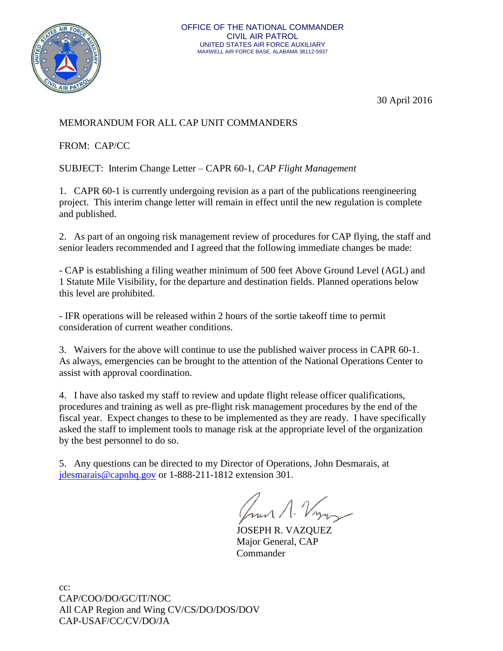

30 April 2016

# MEMORANDUM FOR ALL CAP UNIT COMMANDERS

FROM: CAP/CC

SUBJECT: Interim Change Letter – CAPR 60-1, *CAP Flight Management*

1. CAPR 60-1 is currently undergoing revision as a part of the publications reengineering project. This interim change letter will remain in effect until the new regulation is complete and published.

2. As part of an ongoing risk management review of procedures for CAP flying, the staff and senior leaders recommended and I agreed that the following immediate changes be made:

- CAP is establishing a filing weather minimum of 500 feet Above Ground Level (AGL) and 1 Statute Mile Visibility, for the departure and destination fields. Planned operations below this level are prohibited.

- IFR operations will be released within 2 hours of the sortie takeoff time to permit consideration of current weather conditions.

3. Waivers for the above will continue to use the published waiver process in CAPR 60-1. As always, emergencies can be brought to the attention of the National Operations Center to assist with approval coordination.

4. I have also tasked my staff to review and update flight release officer qualifications, procedures and training as well as pre-flight risk management procedures by the end of the fiscal year. Expect changes to these to be implemented as they are ready. I have specifically asked the staff to implement tools to manage risk at the appropriate level of the organization by the best personnel to do so.

5. Any questions can be directed to my Director of Operations, John Desmarais, at [jdesmarais@capnhq.gov](mailto:jdesmarais@capnhq.gov) or 1-888-211-1812 extension 301.

hun 1. Vy

JOSEPH R. VAZQUEZ Major General, CAP Commander

cc: CAP/COO/DO/GC/IT/NOC All CAP Region and Wing CV/CS/DO/DOS/DOV CAP-USAF/CC/CV/DO/JA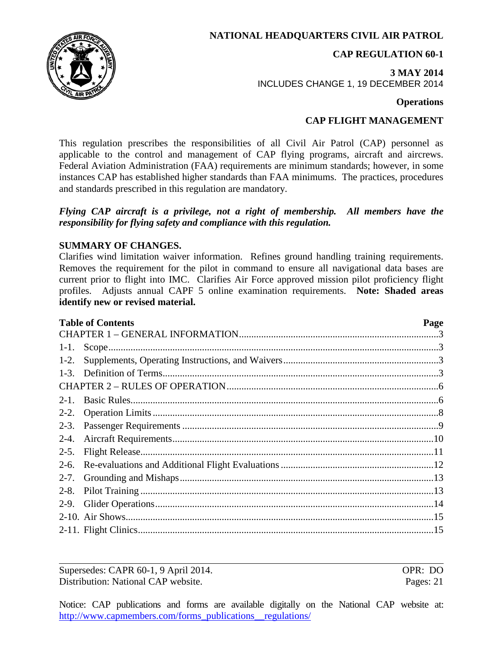**NATIONAL HEADQUARTERS CIVIL AIR PATROL**

**CAP REGULATION 60-1**

**3 MAY 2014** INCLUDES CHANGE 1, 19 DECEMBER 2014

## **Operations**

# **CAP FLIGHT MANAGEMENT**

This regulation prescribes the responsibilities of all Civil Air Patrol (CAP) personnel as applicable to the control and management of CAP flying programs, aircraft and aircrews. Federal Aviation Administration (FAA) requirements are minimum standards; however, in some instances CAP has established higher standards than FAA minimums. The practices, procedures and standards prescribed in this regulation are mandatory.

## *Flying CAP aircraft is a privilege, not a right of membership. All members have the responsibility for flying safety and compliance with this regulation.*

## **SUMMARY OF CHANGES.**

Clarifies wind limitation waiver information. Refines ground handling training requirements. Removes the requirement for the pilot in command to ensure all navigational data bases are current prior to flight into IMC. Clarifies Air Force approved mission pilot proficiency flight profiles. Adjusts annual CAPF 5 online examination requirements. **Note: Shaded areas identify new or revised material.**

| <b>Table of Contents</b> |  |  |  |  |
|--------------------------|--|--|--|--|
|                          |  |  |  |  |
| $1-1.$                   |  |  |  |  |
| $1-2.$                   |  |  |  |  |
| $1-3.$                   |  |  |  |  |
|                          |  |  |  |  |
| $2 - 1$                  |  |  |  |  |
| $2 - 2$ .                |  |  |  |  |
| $2-3.$                   |  |  |  |  |
| $2 - 4.$                 |  |  |  |  |
| $2-5.$                   |  |  |  |  |
| $2-6.$                   |  |  |  |  |
| $2 - 7.$                 |  |  |  |  |
| $2 - 8$ .                |  |  |  |  |
| $2-9.$                   |  |  |  |  |
|                          |  |  |  |  |
|                          |  |  |  |  |
|                          |  |  |  |  |

Supersedes: CAPR 60-1, 9 April 2014. OPR: DO Distribution: National CAP website. Pages: 21

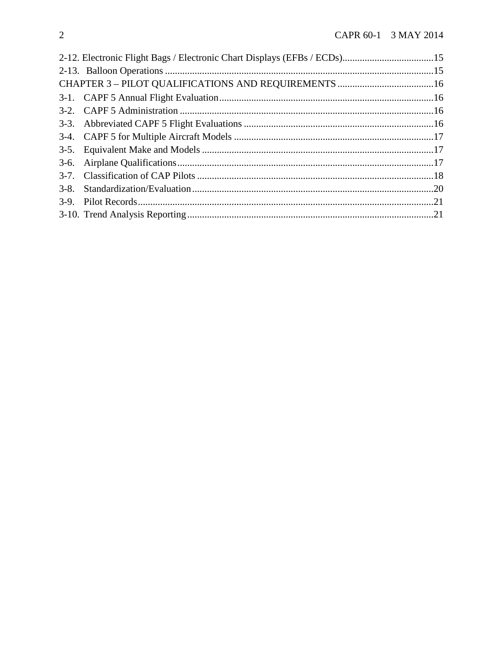|  | 2-12. Electronic Flight Bags / Electronic Chart Displays (EFBs / ECDs)15 |  |  |
|--|--------------------------------------------------------------------------|--|--|
|  |                                                                          |  |  |
|  |                                                                          |  |  |
|  |                                                                          |  |  |
|  |                                                                          |  |  |
|  |                                                                          |  |  |
|  |                                                                          |  |  |
|  |                                                                          |  |  |
|  |                                                                          |  |  |
|  |                                                                          |  |  |
|  |                                                                          |  |  |
|  |                                                                          |  |  |
|  |                                                                          |  |  |
|  |                                                                          |  |  |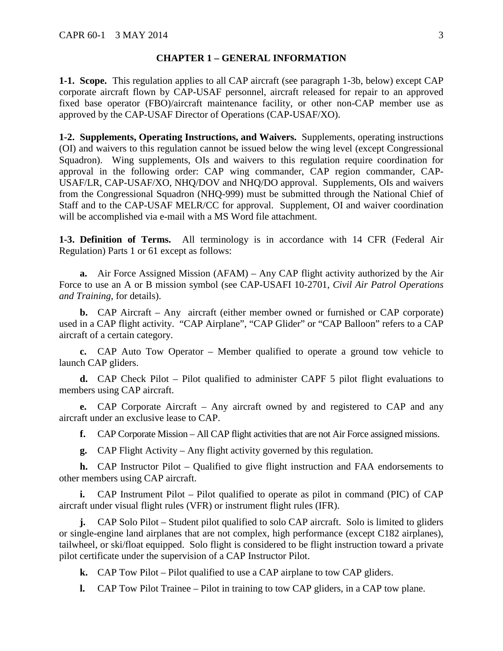#### **CHAPTER 1 – GENERAL INFORMATION**

<span id="page-3-1"></span><span id="page-3-0"></span>**1-1. Scope.** This regulation applies to all CAP aircraft (see paragraph 1-3b, below) except CAP corporate aircraft flown by CAP-USAF personnel, aircraft released for repair to an approved fixed base operator (FBO)/aircraft maintenance facility, or other non-CAP member use as approved by the CAP-USAF Director of Operations (CAP-USAF/XO).

<span id="page-3-2"></span>**1-2. Supplements, Operating Instructions, and Waivers.** Supplements, operating instructions (OI) and waivers to this regulation cannot be issued below the wing level (except Congressional Squadron). Wing supplements, OIs and waivers to this regulation require coordination for approval in the following order: CAP wing commander, CAP region commander, CAP-USAF/LR, CAP-USAF/XO, NHQ/DOV and NHQ/DO approval. Supplements, OIs and waivers from the Congressional Squadron (NHQ-999) must be submitted through the National Chief of Staff and to the CAP-USAF MELR/CC for approval. Supplement, OI and waiver coordination will be accomplished via e-mail with a MS Word file attachment.

<span id="page-3-3"></span>**1-3. Definition of Terms.** All terminology is in accordance with 14 CFR (Federal Air Regulation) Parts 1 or 61 except as follows:

**a.** Air Force Assigned Mission (AFAM) – Any CAP flight activity authorized by the Air Force to use an A or B mission symbol (see CAP-USAFI 10-2701, *Civil Air Patrol Operations and Training*, for details).

**b.** CAP Aircraft – Any aircraft (either member owned or furnished or CAP corporate) used in a CAP flight activity. "CAP Airplane", "CAP Glider" or "CAP Balloon" refers to a CAP aircraft of a certain category.

**c.** CAP Auto Tow Operator – Member qualified to operate a ground tow vehicle to launch CAP gliders.

**d.** CAP Check Pilot – Pilot qualified to administer CAPF 5 pilot flight evaluations to members using CAP aircraft.

**e.** CAP Corporate Aircraft – Any aircraft owned by and registered to CAP and any aircraft under an exclusive lease to CAP.

**f.** CAP Corporate Mission – All CAP flight activities that are not Air Force assigned missions.

**g.** CAP Flight Activity – Any flight activity governed by this regulation.

**h.** CAP Instructor Pilot – Qualified to give flight instruction and FAA endorsements to other members using CAP aircraft.

**i.** CAP Instrument Pilot – Pilot qualified to operate as pilot in command (PIC) of CAP aircraft under visual flight rules (VFR) or instrument flight rules (IFR).

**j.** CAP Solo Pilot – Student pilot qualified to solo CAP aircraft. Solo is limited to gliders or single-engine land airplanes that are not complex, high performance (except C182 airplanes), tailwheel, or ski/float equipped. Solo flight is considered to be flight instruction toward a private pilot certificate under the supervision of a CAP Instructor Pilot.

**k.** CAP Tow Pilot – Pilot qualified to use a CAP airplane to tow CAP gliders.

**l.** CAP Tow Pilot Trainee – Pilot in training to tow CAP gliders, in a CAP tow plane.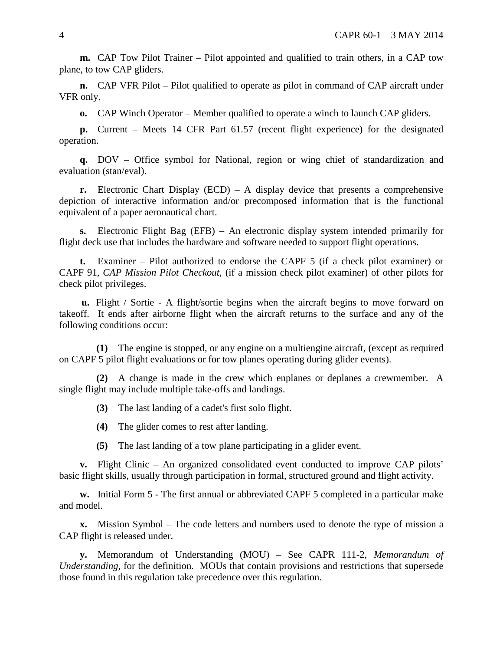**m.** CAP Tow Pilot Trainer – Pilot appointed and qualified to train others, in a CAP tow plane, to tow CAP gliders.

**n.** CAP VFR Pilot – Pilot qualified to operate as pilot in command of CAP aircraft under VFR only.

**o.** CAP Winch Operator – Member qualified to operate a winch to launch CAP gliders.

**p.** Current – Meets 14 CFR Part 61.57 (recent flight experience) for the designated operation.

**q.** DOV – Office symbol for National, region or wing chief of standardization and evaluation (stan/eval).

**r.** Electronic Chart Display (ECD) – A display device that presents a comprehensive depiction of interactive information and/or precomposed information that is the functional equivalent of a paper aeronautical chart.

**s.** Electronic Flight Bag (EFB) – An electronic display system intended primarily for flight deck use that includes the hardware and software needed to support flight operations.

**t.** Examiner – Pilot authorized to endorse the CAPF 5 (if a check pilot examiner) or CAPF 91, *CAP Mission Pilot Checkout*, (if a mission check pilot examiner) of other pilots for check pilot privileges.

**u.** Flight / Sortie - A flight/sortie begins when the aircraft begins to move forward on takeoff. It ends after airborne flight when the aircraft returns to the surface and any of the following conditions occur:

**(1)** The engine is stopped, or any engine on a multiengine aircraft, (except as required on CAPF 5 pilot flight evaluations or for tow planes operating during glider events).

**(2)** A change is made in the crew which enplanes or deplanes a crewmember. A single flight may include multiple take-offs and landings.

**(3)** The last landing of a cadet's first solo flight.

**(4)** The glider comes to rest after landing.

**(5)** The last landing of a tow plane participating in a glider event.

**v.** Flight Clinic – An organized consolidated event conducted to improve CAP pilots' basic flight skills, usually through participation in formal, structured ground and flight activity.

**w.** Initial Form 5 - The first annual or abbreviated CAPF 5 completed in a particular make and model.

**x.** Mission Symbol – The code letters and numbers used to denote the type of mission a CAP flight is released under.

**y.** Memorandum of Understanding (MOU) – See CAPR 111-2, *Memorandum of Understanding*, for the definition. MOUs that contain provisions and restrictions that supersede those found in this regulation take precedence over this regulation.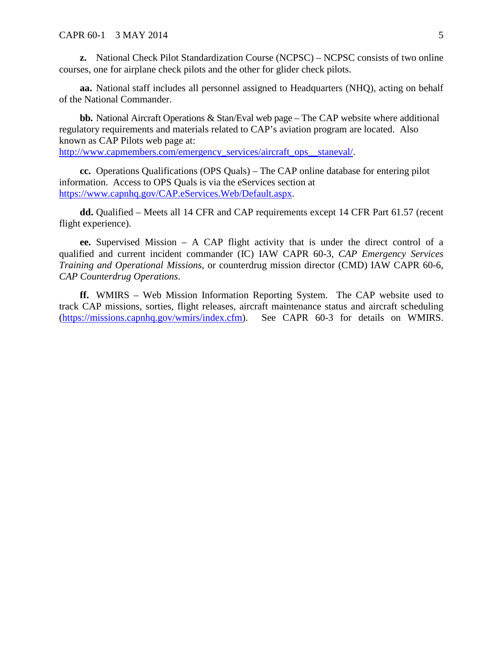**z.** National Check Pilot Standardization Course (NCPSC) – NCPSC consists of two online courses, one for airplane check pilots and the other for glider check pilots.

**aa.** National staff includes all personnel assigned to Headquarters (NHQ), acting on behalf of the National Commander.

**bb.** National Aircraft Operations & Stan/Eval web page – The CAP website where additional regulatory requirements and materials related to CAP's aviation program are located. Also known as CAP Pilots web page at:

[http://www.capmembers.com/emergency\\_services/aircraft\\_ops\\_\\_staneval/.](http://www.capmembers.com/emergency_services/aircraft_ops__staneval/)

**cc.** Operations Qualifications (OPS Quals) – The CAP online database for entering pilot information. Access to OPS Quals is via the eServices section at [https://www.capnhq.gov/CAP.eServices.Web/Default.aspx.](https://www.capnhq.gov/CAP.eServices.Web/Default.aspx)

**dd.** Qualified – Meets all 14 CFR and CAP requirements except 14 CFR Part 61.57 (recent flight experience).

**ee.** Supervised Mission – A CAP flight activity that is under the direct control of a qualified and current incident commander (IC) IAW CAPR 60-3, *CAP Emergency Services Training and Operational Missions*, or counterdrug mission director (CMD) IAW CAPR 60-6, *CAP Counterdrug Operations*.

**ff.** WMIRS – Web Mission Information Reporting System. The CAP website used to track CAP missions, sorties, flight releases, aircraft maintenance status and aircraft scheduling [\(https://missions.capnhq.gov/wmirs/index.cfm\)](https://missions.capnhq.gov/wmirs/index.cfm). See CAPR 60-3 for details on WMIRS.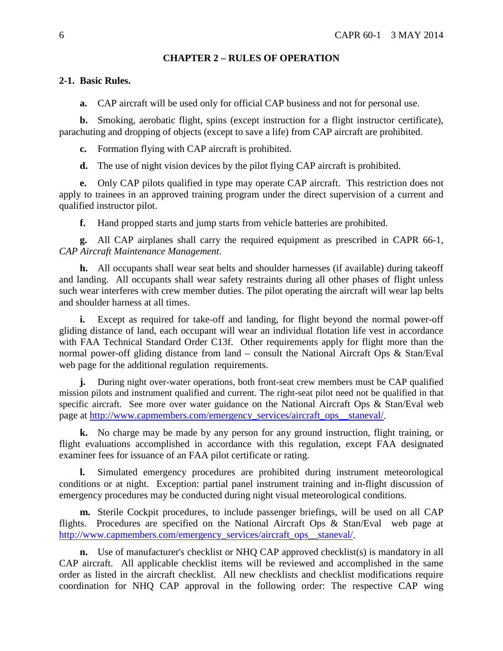## **CHAPTER 2 – RULES OF OPERATION**

## <span id="page-6-1"></span><span id="page-6-0"></span>**2-1. Basic Rules.**

**a.** CAP aircraft will be used only for official CAP business and not for personal use.

**b.** Smoking, aerobatic flight, spins (except instruction for a flight instructor certificate), parachuting and dropping of objects (except to save a life) from CAP aircraft are prohibited.

**c.** Formation flying with CAP aircraft is prohibited.

**d.** The use of night vision devices by the pilot flying CAP aircraft is prohibited.

**e.** Only CAP pilots qualified in type may operate CAP aircraft. This restriction does not apply to trainees in an approved training program under the direct supervision of a current and qualified instructor pilot.

**f.** Hand propped starts and jump starts from vehicle batteries are prohibited.

**g.** All CAP airplanes shall carry the required equipment as prescribed in CAPR 66-1, *CAP Aircraft Maintenance Management*.

**h.** All occupants shall wear seat belts and shoulder harnesses (if available) during takeoff and landing. All occupants shall wear safety restraints during all other phases of flight unless such wear interferes with crew member duties. The pilot operating the aircraft will wear lap belts and shoulder harness at all times.

**i.** Except as required for take-off and landing, for flight beyond the normal power-off gliding distance of land, each occupant will wear an individual flotation life vest in accordance with FAA Technical Standard Order C13f. Other requirements apply for flight more than the normal power-off gliding distance from land – consult the National Aircraft Ops & Stan/Eval web page for the additional regulation requirements.

**j.** During night over-water operations, both front-seat crew members must be CAP qualified mission pilots and instrument qualified and current. The right-seat pilot need not be qualified in that specific aircraft. See more over water guidance on the National Aircraft Ops & Stan/Eval web page at [http://www.capmembers.com/emergency\\_services/aircraft\\_ops\\_\\_staneval/.](http://www.capmembers.com/emergency_services/aircraft_ops__staneval/)

**k.** No charge may be made by any person for any ground instruction, flight training, or flight evaluations accomplished in accordance with this regulation, except FAA designated examiner fees for issuance of an FAA pilot certificate or rating.

**l.** Simulated emergency procedures are prohibited during instrument meteorological conditions or at night. Exception: partial panel instrument training and in-flight discussion of emergency procedures may be conducted during night visual meteorological conditions.

**m.** Sterile Cockpit procedures, to include passenger briefings, will be used on all CAP flights. Procedures are specified on the National Aircraft Ops & Stan/Eval web page at [http://www.capmembers.com/emergency\\_services/aircraft\\_ops\\_\\_staneval/.](http://www.capmembers.com/emergency_services/aircraft_ops__staneval/)

**n.** Use of manufacturer's checklist or NHQ CAP approved checklist(s) is mandatory in all CAP aircraft. All applicable checklist items will be reviewed and accomplished in the same order as listed in the aircraft checklist. All new checklists and checklist modifications require coordination for NHQ CAP approval in the following order: The respective CAP wing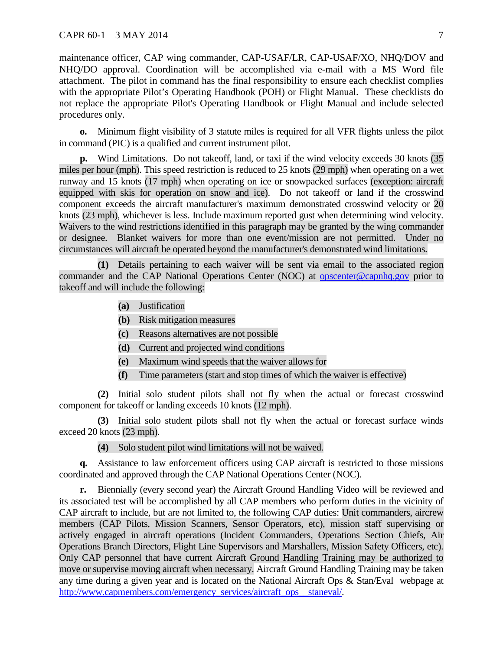maintenance officer, CAP wing commander, CAP-USAF/LR, CAP-USAF/XO, NHQ/DOV and NHQ/DO approval. Coordination will be accomplished via e-mail with a MS Word file attachment. The pilot in command has the final responsibility to ensure each checklist complies with the appropriate Pilot's Operating Handbook (POH) or Flight Manual. These checklists do not replace the appropriate Pilot's Operating Handbook or Flight Manual and include selected procedures only.

**o.** Minimum flight visibility of 3 statute miles is required for all VFR flights unless the pilot in command (PIC) is a qualified and current instrument pilot.

**p.** Wind Limitations. Do not takeoff, land, or taxi if the wind velocity exceeds 30 knots (35 miles per hour (mph). This speed restriction is reduced to 25 knots (29 mph) when operating on a wet runway and 15 knots (17 mph) when operating on ice or snowpacked surfaces (exception: aircraft equipped with skis for operation on snow and ice). Do not takeoff or land if the crosswind component exceeds the aircraft manufacturer's maximum demonstrated crosswind velocity or 20 knots (23 mph), whichever is less. Include maximum reported gust when determining wind velocity. Waivers to the wind restrictions identified in this paragraph may be granted by the wing commander or designee. Blanket waivers for more than one event/mission are not permitted. Under no circumstances will aircraft be operated beyond the manufacturer's demonstrated wind limitations.

**(1)** Details pertaining to each waiver will be sent via email to the associated region commander and the CAP National Operations Center (NOC) at [opscenter@capnhq.gov](mailto:opscenter@capnhq.gov) prior to takeoff and will include the following:

- **(a)** Justification
- **(b)** Risk mitigation measures
- **(c)** Reasons alternatives are not possible
- **(d)** Current and projected wind conditions
- **(e)** Maximum wind speeds that the waiver allows for
- **(f)** Time parameters (start and stop times of which the waiver is effective)

**(2)** Initial solo student pilots shall not fly when the actual or forecast crosswind component for takeoff or landing exceeds 10 knots (12 mph).

**(3)** Initial solo student pilots shall not fly when the actual or forecast surface winds exceed 20 knots (23 mph).

<span id="page-7-0"></span>**(4)** Solo student pilot wind limitations will not be waived.

**q.** Assistance to law enforcement officers using CAP aircraft is restricted to those missions coordinated and approved through the CAP National Operations Center (NOC).

**r.** Biennially (every second year) the Aircraft Ground Handling Video will be reviewed and its associated test will be accomplished by all CAP members who perform duties in the vicinity of CAP aircraft to include, but are not limited to, the following CAP duties: Unit commanders, aircrew members (CAP Pilots, Mission Scanners, Sensor Operators, etc), mission staff supervising or actively engaged in aircraft operations (Incident Commanders, Operations Section Chiefs, Air Operations Branch Directors, Flight Line Supervisors and Marshallers, Mission Safety Officers, etc). Only CAP personnel that have current Aircraft Ground Handling Training may be authorized to move or supervise moving aircraft when necessary. Aircraft Ground Handling Training may be taken any time during a given year and is located on the National Aircraft Ops & Stan/Eval webpage at [http://www.capmembers.com/emergency\\_services/aircraft\\_ops\\_\\_staneval/.](http://www.capmembers.com/emergency_services/aircraft_ops__staneval/)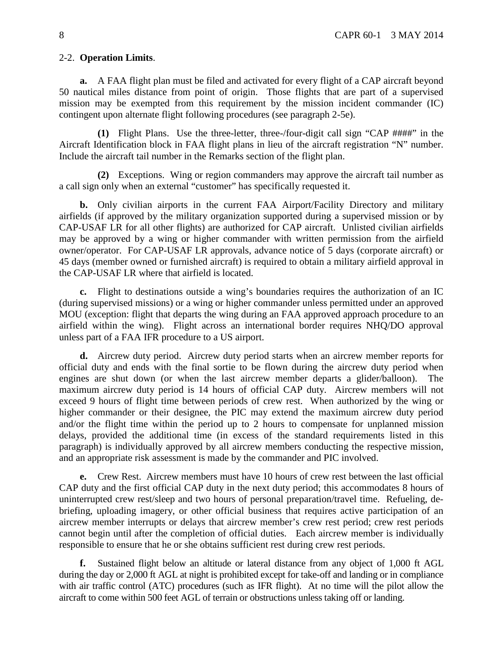#### 2-2. **Operation Limits**.

**a.** A FAA flight plan must be filed and activated for every flight of a CAP aircraft beyond 50 nautical miles distance from point of origin. Those flights that are part of a supervised mission may be exempted from this requirement by the mission incident commander (IC) contingent upon alternate flight following procedures (see paragraph 2-5e).

**(1)** Flight Plans. Use the three-letter, three-/four-digit call sign "CAP ####" in the Aircraft Identification block in FAA flight plans in lieu of the aircraft registration "N" number. Include the aircraft tail number in the Remarks section of the flight plan.

**(2)** Exceptions. Wing or region commanders may approve the aircraft tail number as a call sign only when an external "customer" has specifically requested it.

**b.** Only civilian airports in the current FAA Airport/Facility Directory and military airfields (if approved by the military organization supported during a supervised mission or by CAP-USAF LR for all other flights) are authorized for CAP aircraft. Unlisted civilian airfields may be approved by a wing or higher commander with written permission from the airfield owner/operator. For CAP-USAF LR approvals, advance notice of 5 days (corporate aircraft) or 45 days (member owned or furnished aircraft) is required to obtain a military airfield approval in the CAP-USAF LR where that airfield is located.

**c.** Flight to destinations outside a wing's boundaries requires the authorization of an IC (during supervised missions) or a wing or higher commander unless permitted under an approved MOU (exception: flight that departs the wing during an FAA approved approach procedure to an airfield within the wing). Flight across an international border requires NHQ/DO approval unless part of a FAA IFR procedure to a US airport.

**d.** Aircrew duty period. Aircrew duty period starts when an aircrew member reports for official duty and ends with the final sortie to be flown during the aircrew duty period when engines are shut down (or when the last aircrew member departs a glider/balloon). The maximum aircrew duty period is 14 hours of official CAP duty. Aircrew members will not exceed 9 hours of flight time between periods of crew rest. When authorized by the wing or higher commander or their designee, the PIC may extend the maximum aircrew duty period and/or the flight time within the period up to 2 hours to compensate for unplanned mission delays, provided the additional time (in excess of the standard requirements listed in this paragraph) is individually approved by all aircrew members conducting the respective mission, and an appropriate risk assessment is made by the commander and PIC involved.

**e.** Crew Rest. Aircrew members must have 10 hours of crew rest between the last official CAP duty and the first official CAP duty in the next duty period; this accommodates 8 hours of uninterrupted crew rest/sleep and two hours of personal preparation/travel time. Refueling, debriefing, uploading imagery, or other official business that requires active participation of an aircrew member interrupts or delays that aircrew member's crew rest period; crew rest periods cannot begin until after the completion of official duties. Each aircrew member is individually responsible to ensure that he or she obtains sufficient rest during crew rest periods.

**f.** Sustained flight below an altitude or lateral distance from any object of 1,000 ft AGL during the day or 2,000 ft AGL at night is prohibited except for take-off and landing or in compliance with air traffic control (ATC) procedures (such as IFR flight). At no time will the pilot allow the aircraft to come within 500 feet AGL of terrain or obstructions unless taking off or landing.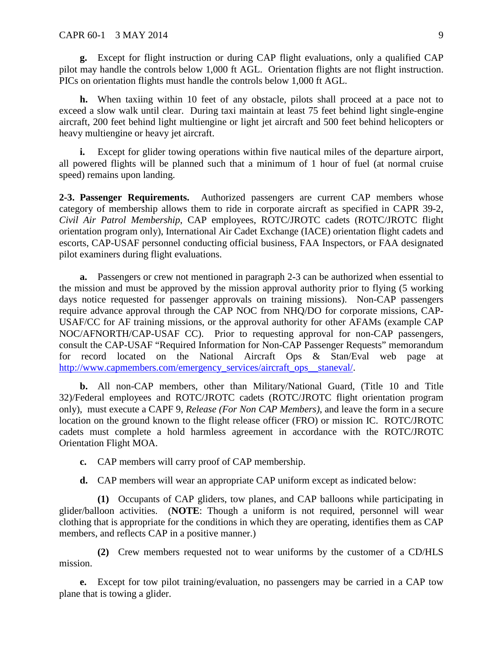**g.** Except for flight instruction or during CAP flight evaluations, only a qualified CAP pilot may handle the controls below 1,000 ft AGL. Orientation flights are not flight instruction. PICs on orientation flights must handle the controls below 1,000 ft AGL.

**h.** When taxiing within 10 feet of any obstacle, pilots shall proceed at a pace not to exceed a slow walk until clear. During taxi maintain at least 75 feet behind light single-engine aircraft, 200 feet behind light multiengine or light jet aircraft and 500 feet behind helicopters or heavy multiengine or heavy jet aircraft.

**i.** Except for glider towing operations within five nautical miles of the departure airport, all powered flights will be planned such that a minimum of 1 hour of fuel (at normal cruise speed) remains upon landing.

<span id="page-9-0"></span>**2-3. Passenger Requirements.** Authorized passengers are current CAP members whose category of membership allows them to ride in corporate aircraft as specified in CAPR 39-2, *Civil Air Patrol Membership*, CAP employees, ROTC/JROTC cadets (ROTC/JROTC flight orientation program only), International Air Cadet Exchange (IACE) orientation flight cadets and escorts, CAP-USAF personnel conducting official business, FAA Inspectors, or FAA designated pilot examiners during flight evaluations.

**a.** Passengers or crew not mentioned in paragraph 2-3 can be authorized when essential to the mission and must be approved by the mission approval authority prior to flying (5 working days notice requested for passenger approvals on training missions). Non-CAP passengers require advance approval through the CAP NOC from NHQ/DO for corporate missions, CAP-USAF/CC for AF training missions, or the approval authority for other AFAMs (example CAP NOC/AFNORTH/CAP-USAF CC). Prior to requesting approval for non-CAP passengers, consult the CAP-USAF "Required Information for Non-CAP Passenger Requests" memorandum for record located on the National Aircraft Ops & Stan/Eval web page at [http://www.capmembers.com/emergency\\_services/aircraft\\_ops\\_\\_staneval/.](http://www.capmembers.com/emergency_services/aircraft_ops__staneval/)

**b.** All non-CAP members, other than Military/National Guard, (Title 10 and Title 32)/Federal employees and ROTC/JROTC cadets (ROTC/JROTC flight orientation program only), must execute a CAPF 9, *Release (For Non CAP Members)*, and leave the form in a secure location on the ground known to the flight release officer (FRO) or mission IC. ROTC/JROTC cadets must complete a hold harmless agreement in accordance with the ROTC/JROTC Orientation Flight MOA.

**c.** CAP members will carry proof of CAP membership.

**d.** CAP members will wear an appropriate CAP uniform except as indicated below:

**(1)** Occupants of CAP gliders, tow planes, and CAP balloons while participating in glider/balloon activities. (**NOTE**: Though a uniform is not required, personnel will wear clothing that is appropriate for the conditions in which they are operating, identifies them as CAP members, and reflects CAP in a positive manner.)

**(2)** Crew members requested not to wear uniforms by the customer of a CD/HLS mission.

**e.** Except for tow pilot training/evaluation, no passengers may be carried in a CAP tow plane that is towing a glider.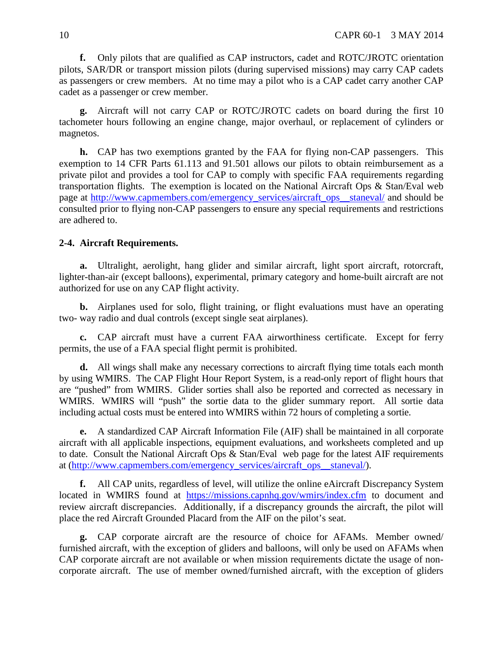**f.** Only pilots that are qualified as CAP instructors, cadet and ROTC/JROTC orientation pilots, SAR/DR or transport mission pilots (during supervised missions) may carry CAP cadets as passengers or crew members. At no time may a pilot who is a CAP cadet carry another CAP cadet as a passenger or crew member.

**g.** Aircraft will not carry CAP or ROTC/JROTC cadets on board during the first 10 tachometer hours following an engine change, major overhaul, or replacement of cylinders or magnetos.

**h.** CAP has two exemptions granted by the FAA for flying non-CAP passengers. This exemption to 14 CFR Parts 61.113 and 91.501 allows our pilots to obtain reimbursement as a private pilot and provides a tool for CAP to comply with specific FAA requirements regarding transportation flights. The exemption is located on the National Aircraft Ops & Stan/Eval web page at [http://www.capmembers.com/emergency\\_services/aircraft\\_ops\\_\\_staneval/](http://www.capmembers.com/emergency_services/aircraft_ops__staneval/) and should be consulted prior to flying non-CAP passengers to ensure any special requirements and restrictions are adhered to.

## <span id="page-10-0"></span>**2-4. Aircraft Requirements.**

**a.** Ultralight, aerolight, hang glider and similar aircraft, light sport aircraft, rotorcraft, lighter-than-air (except balloons), experimental, primary category and home-built aircraft are not authorized for use on any CAP flight activity.

**b.** Airplanes used for solo, flight training, or flight evaluations must have an operating two- way radio and dual controls (except single seat airplanes).

**c.** CAP aircraft must have a current FAA airworthiness certificate. Except for ferry permits, the use of a FAA special flight permit is prohibited.

**d.** All wings shall make any necessary corrections to aircraft flying time totals each month by using WMIRS. The CAP Flight Hour Report System, is a read-only report of flight hours that are "pushed" from WMIRS. Glider sorties shall also be reported and corrected as necessary in WMIRS. WMIRS will "push" the sortie data to the glider summary report. All sortie data including actual costs must be entered into WMIRS within 72 hours of completing a sortie.

**e.** A standardized CAP Aircraft Information File (AIF) shall be maintained in all corporate aircraft with all applicable inspections, equipment evaluations, and worksheets completed and up to date. Consult the National Aircraft Ops & Stan/Eval web page for the latest AIF requirements at [\(http://www.capmembers.com/emergency\\_services/aircraft\\_ops\\_\\_staneval/\)](http://www.capmembers.com/emergency_services/aircraft_ops__staneval/).

**f.** All CAP units, regardless of level, will utilize the online eAircraft Discrepancy System located in WMIRS found at <https://missions.capnhq.gov/wmirs/index.cfm> to document and review aircraft discrepancies. Additionally, if a discrepancy grounds the aircraft, the pilot will place the red Aircraft Grounded Placard from the AIF on the pilot's seat.

**g.** CAP corporate aircraft are the resource of choice for AFAMs. Member owned/ furnished aircraft, with the exception of gliders and balloons, will only be used on AFAMs when CAP corporate aircraft are not available or when mission requirements dictate the usage of noncorporate aircraft. The use of member owned/furnished aircraft, with the exception of gliders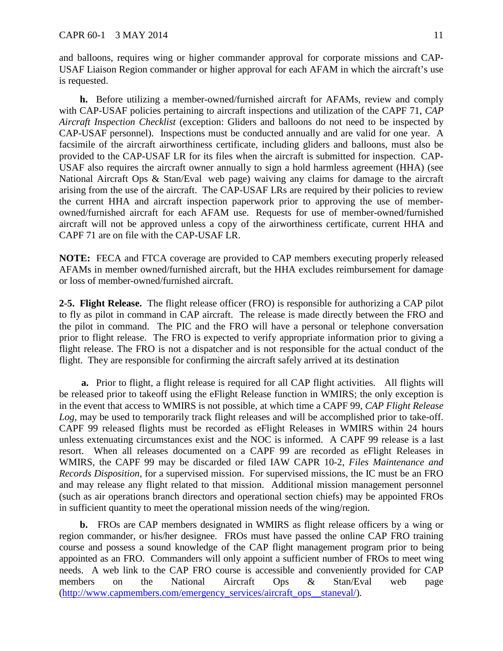and balloons, requires wing or higher commander approval for corporate missions and CAP-USAF Liaison Region commander or higher approval for each AFAM in which the aircraft's use is requested.

**h.** Before utilizing a member-owned/furnished aircraft for AFAMs, review and comply with CAP-USAF policies pertaining to aircraft inspections and utilization of the CAPF 71, *CAP Aircraft Inspection Checklist* (exception: Gliders and balloons do not need to be inspected by CAP-USAF personnel). Inspections must be conducted annually and are valid for one year. A facsimile of the aircraft airworthiness certificate, including gliders and balloons, must also be provided to the CAP-USAF LR for its files when the aircraft is submitted for inspection. CAP-USAF also requires the aircraft owner annually to sign a hold harmless agreement (HHA) (see National Aircraft Ops & Stan/Eval web page) waiving any claims for damage to the aircraft arising from the use of the aircraft. The CAP-USAF LRs are required by their policies to review the current HHA and aircraft inspection paperwork prior to approving the use of memberowned/furnished aircraft for each AFAM use. Requests for use of member-owned/furnished aircraft will not be approved unless a copy of the airworthiness certificate, current HHA and CAPF 71 are on file with the CAP-USAF LR.

**NOTE:** FECA and FTCA coverage are provided to CAP members executing properly released AFAMs in member owned/furnished aircraft, but the HHA excludes reimbursement for damage or loss of member-owned/furnished aircraft.

<span id="page-11-0"></span>**2-5. Flight Release.** The flight release officer (FRO) is responsible for authorizing a CAP pilot to fly as pilot in command in CAP aircraft. The release is made directly between the FRO and the pilot in command. The PIC and the FRO will have a personal or telephone conversation prior to flight release. The FRO is expected to verify appropriate information prior to giving a flight release. The FRO is not a dispatcher and is not responsible for the actual conduct of the flight. They are responsible for confirming the aircraft safely arrived at its destination

**a.** Prior to flight, a flight release is required for all CAP flight activities. All flights will be released prior to takeoff using the eFlight Release function in WMIRS; the only exception is in the event that access to WMIRS is not possible, at which time a CAPF 99, *CAP Flight Release Log*, may be used to temporarily track flight releases and will be accomplished prior to take-off. CAPF 99 released flights must be recorded as eFlight Releases in WMIRS within 24 hours unless extenuating circumstances exist and the NOC is informed. A CAPF 99 release is a last resort. When all releases documented on a CAPF 99 are recorded as eFlight Releases in WMIRS, the CAPF 99 may be discarded or filed IAW CAPR 10-2, *Files Maintenance and Records Disposition*, for a supervised mission. For supervised missions, the IC must be an FRO and may release any flight related to that mission. Additional mission management personnel (such as air operations branch directors and operational section chiefs) may be appointed FROs in sufficient quantity to meet the operational mission needs of the wing/region.

**b.** FROs are CAP members designated in WMIRS as flight release officers by a wing or region commander, or his/her designee. FROs must have passed the online CAP FRO training course and possess a sound knowledge of the CAP flight management program prior to being appointed as an FRO. Commanders will only appoint a sufficient number of FROs to meet wing needs. A web link to the CAP FRO course is accessible and conveniently provided for CAP members on the National Aircraft Ops & Stan/Eval web page [\(http://www.capmembers.com/emergency\\_services/aircraft\\_ops\\_\\_staneval/\)](http://www.capmembers.com/emergency_services/aircraft_ops__staneval/).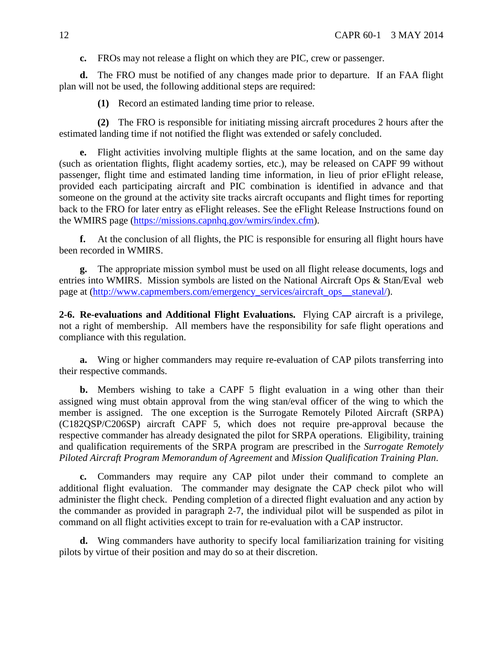**c.** FROs may not release a flight on which they are PIC, crew or passenger.

**d.** The FRO must be notified of any changes made prior to departure. If an FAA flight plan will not be used, the following additional steps are required:

**(1)** Record an estimated landing time prior to release.

**(2)** The FRO is responsible for initiating missing aircraft procedures 2 hours after the estimated landing time if not notified the flight was extended or safely concluded.

**e.** Flight activities involving multiple flights at the same location, and on the same day (such as orientation flights, flight academy sorties, etc.), may be released on CAPF 99 without passenger, flight time and estimated landing time information, in lieu of prior eFlight release, provided each participating aircraft and PIC combination is identified in advance and that someone on the ground at the activity site tracks aircraft occupants and flight times for reporting back to the FRO for later entry as eFlight releases. See the eFlight Release Instructions found on the WMIRS page [\(https://missions.capnhq.gov/wmirs/index.cfm\)](https://missions.capnhq.gov/wmirs/index.cfm).

**f.** At the conclusion of all flights, the PIC is responsible for ensuring all flight hours have been recorded in WMIRS.

**g.** The appropriate mission symbol must be used on all flight release documents, logs and entries into WMIRS. Mission symbols are listed on the National Aircraft Ops & Stan/Eval web page at [\(http://www.capmembers.com/emergency\\_services/aircraft\\_ops\\_\\_staneval/\)](http://www.capmembers.com/emergency_services/aircraft_ops__staneval/).

<span id="page-12-0"></span>**2-6. Re-evaluations and Additional Flight Evaluations.** Flying CAP aircraft is a privilege, not a right of membership. All members have the responsibility for safe flight operations and compliance with this regulation.

**a.** Wing or higher commanders may require re-evaluation of CAP pilots transferring into their respective commands.

**b.** Members wishing to take a CAPF 5 flight evaluation in a wing other than their assigned wing must obtain approval from the wing stan/eval officer of the wing to which the member is assigned. The one exception is the Surrogate Remotely Piloted Aircraft (SRPA) (C182QSP/C206SP) aircraft CAPF 5, which does not require pre-approval because the respective commander has already designated the pilot for SRPA operations. Eligibility, training and qualification requirements of the SRPA program are prescribed in the *Surrogate Remotely Piloted Aircraft Program Memorandum of Agreement* and *Mission Qualification Training Plan*.

**c.** Commanders may require any CAP pilot under their command to complete an additional flight evaluation. The commander may designate the CAP check pilot who will administer the flight check. Pending completion of a directed flight evaluation and any action by the commander as provided in paragraph 2-7, the individual pilot will be suspended as pilot in command on all flight activities except to train for re-evaluation with a CAP instructor.

**d.** Wing commanders have authority to specify local familiarization training for visiting pilots by virtue of their position and may do so at their discretion.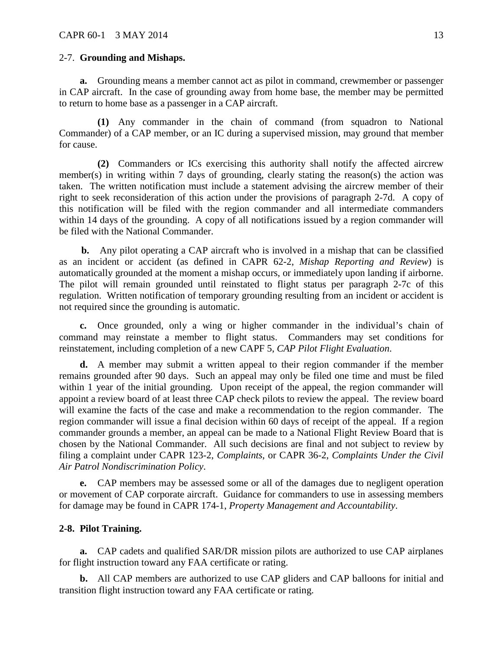#### <span id="page-13-0"></span>2-7. **Grounding and Mishaps.**

**a.** Grounding means a member cannot act as pilot in command, crewmember or passenger in CAP aircraft. In the case of grounding away from home base, the member may be permitted to return to home base as a passenger in a CAP aircraft.

**(1)** Any commander in the chain of command (from squadron to National Commander) of a CAP member, or an IC during a supervised mission, may ground that member for cause.

**(2)** Commanders or ICs exercising this authority shall notify the affected aircrew member(s) in writing within 7 days of grounding, clearly stating the reason(s) the action was taken. The written notification must include a statement advising the aircrew member of their right to seek reconsideration of this action under the provisions of paragraph 2-7d. A copy of this notification will be filed with the region commander and all intermediate commanders within 14 days of the grounding. A copy of all notifications issued by a region commander will be filed with the National Commander.

**b.** Any pilot operating a CAP aircraft who is involved in a mishap that can be classified as an incident or accident (as defined in CAPR 62-2, *Mishap Reporting and Review*) is automatically grounded at the moment a mishap occurs, or immediately upon landing if airborne. The pilot will remain grounded until reinstated to flight status per paragraph 2-7c of this regulation. Written notification of temporary grounding resulting from an incident or accident is not required since the grounding is automatic.

**c.** Once grounded, only a wing or higher commander in the individual's chain of command may reinstate a member to flight status. Commanders may set conditions for reinstatement, including completion of a new CAPF 5, *CAP Pilot Flight Evaluation*.

**d.** A member may submit a written appeal to their region commander if the member remains grounded after 90 days. Such an appeal may only be filed one time and must be filed within 1 year of the initial grounding. Upon receipt of the appeal, the region commander will appoint a review board of at least three CAP check pilots to review the appeal. The review board will examine the facts of the case and make a recommendation to the region commander. The region commander will issue a final decision within 60 days of receipt of the appeal. If a region commander grounds a member, an appeal can be made to a National Flight Review Board that is chosen by the National Commander. All such decisions are final and not subject to review by filing a complaint under CAPR 123-2, *Complaints*, or CAPR 36-2, *Complaints Under the Civil Air Patrol Nondiscrimination Policy*.

**e.** CAP members may be assessed some or all of the damages due to negligent operation or movement of CAP corporate aircraft. Guidance for commanders to use in assessing members for damage may be found in CAPR 174-1, *Property Management and Accountability*.

## <span id="page-13-1"></span>**2-8. Pilot Training.**

**a.** CAP cadets and qualified SAR/DR mission pilots are authorized to use CAP airplanes for flight instruction toward any FAA certificate or rating.

**b.** All CAP members are authorized to use CAP gliders and CAP balloons for initial and transition flight instruction toward any FAA certificate or rating.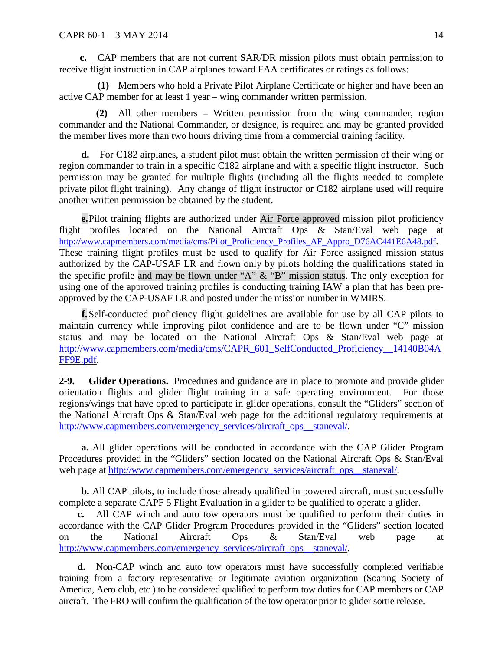**c.** CAP members that are not current SAR/DR mission pilots must obtain permission to receive flight instruction in CAP airplanes toward FAA certificates or ratings as follows:

**(1)** Members who hold a Private Pilot Airplane Certificate or higher and have been an active CAP member for at least 1 year – wing commander written permission.

**(2)** All other members – Written permission from the wing commander, region commander and the National Commander, or designee, is required and may be granted provided the member lives more than two hours driving time from a commercial training facility.

**d.** For C182 airplanes, a student pilot must obtain the written permission of their wing or region commander to train in a specific C182 airplane and with a specific flight instructor. Such permission may be granted for multiple flights (including all the flights needed to complete private pilot flight training). Any change of flight instructor or C182 airplane used will require another written permission be obtained by the student.

**e.**Pilot training flights are authorized under Air Force approved mission pilot proficiency flight profiles located on the National Aircraft Ops & Stan/Eval web page at [http://www.capmembers.com/media/cms/Pilot\\_Proficiency\\_Profiles\\_AF\\_Appro\\_D76AC441E6A48.pdf.](http://www.capmembers.com/media/cms/Pilot_Proficiency_Profiles_AF_Appro_D76AC441E6A48.pdf) These training flight profiles must be used to qualify for Air Force assigned mission status authorized by the CAP-USAF LR and flown only by pilots holding the qualifications stated in the specific profile and may be flown under "A" & "B" mission status. The only exception for using one of the approved training profiles is conducting training IAW a plan that has been preapproved by the CAP-USAF LR and posted under the mission number in WMIRS.

**f.**Self-conducted proficiency flight guidelines are available for use by all CAP pilots to maintain currency while improving pilot confidence and are to be flown under "C" mission status and may be located on the National Aircraft Ops & Stan/Eval web page at [http://www.capmembers.com/media/cms/CAPR\\_601\\_SelfConducted\\_Proficiency\\_\\_14140B04A](http://www.capmembers.com/media/cms/CAPR_601_SelfConducted_Proficiency__14140B04AFF9E.pdf) [FF9E.pdf.](http://www.capmembers.com/media/cms/CAPR_601_SelfConducted_Proficiency__14140B04AFF9E.pdf)

<span id="page-14-0"></span>**2-9. Glider Operations.** Procedures and guidance are in place to promote and provide glider orientation flights and glider flight training in a safe operating environment. For those regions/wings that have opted to participate in glider operations, consult the "Gliders" section of the National Aircraft Ops & Stan/Eval web page for the additional regulatory requirements at [http://www.capmembers.com/emergency\\_services/aircraft\\_ops\\_\\_staneval/.](http://www.capmembers.com/emergency_services/aircraft_ops__staneval/)

**a.** All glider operations will be conducted in accordance with the CAP Glider Program Procedures provided in the "Gliders" section located on the National Aircraft Ops & Stan/Eval web page at [http://www.capmembers.com/emergency\\_services/aircraft\\_ops\\_\\_staneval/.](http://www.capmembers.com/emergency_services/aircraft_ops__staneval/)

**b.** All CAP pilots, to include those already qualified in powered aircraft, must successfully complete a separate CAPF 5 Flight Evaluation in a glider to be qualified to operate a glider.

**c.** All CAP winch and auto tow operators must be qualified to perform their duties in accordance with the CAP Glider Program Procedures provided in the "Gliders" section located on the National Aircraft Ops & Stan/Eval web page at [http://www.capmembers.com/emergency\\_services/aircraft\\_ops\\_\\_staneval/.](http://www.capmembers.com/emergency_services/aircraft_ops__staneval/)

**d.** Non-CAP winch and auto tow operators must have successfully completed verifiable training from a factory representative or legitimate aviation organization (Soaring Society of America, Aero club, etc.) to be considered qualified to perform tow duties for CAP members or CAP aircraft. The FRO will confirm the qualification of the tow operator prior to glider sortie release.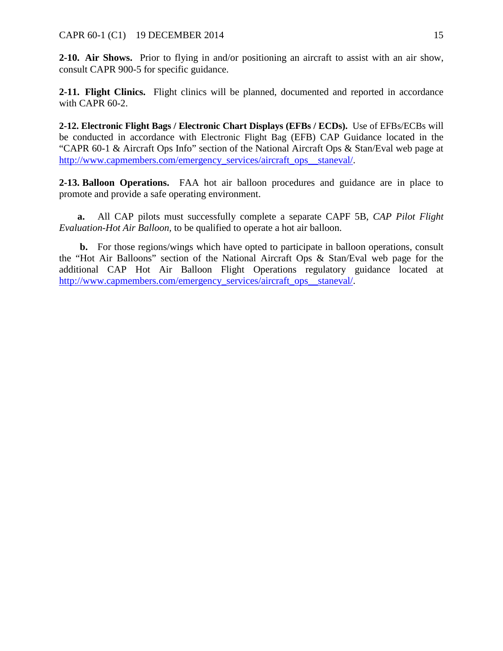<span id="page-15-0"></span>**2-10. Air Shows.** Prior to flying in and/or positioning an aircraft to assist with an air show, consult CAPR 900-5 for specific guidance.

<span id="page-15-1"></span>2-11. Flight Clinics. Flight clinics will be planned, documented and reported in accordance with CAPR 60-2.

<span id="page-15-2"></span>**2-12. Electronic Flight Bags / Electronic Chart Displays (EFBs / ECDs).** Use of EFBs/ECBs will be conducted in accordance with Electronic Flight Bag (EFB) CAP Guidance located in the "CAPR 60-1 & Aircraft Ops Info" section of the National Aircraft Ops & Stan/Eval web page at [http://www.capmembers.com/emergency\\_services/aircraft\\_ops\\_\\_staneval/.](http://www.capmembers.com/emergency_services/aircraft_ops__staneval/)

<span id="page-15-3"></span>**2-13. Balloon Operations.** FAA hot air balloon procedures and guidance are in place to promote and provide a safe operating environment.

**a.** All CAP pilots must successfully complete a separate CAPF 5B, *CAP Pilot Flight Evaluation-Hot Air Balloon,* to be qualified to operate a hot air balloon.

**b.** For those regions/wings which have opted to participate in balloon operations, consult the "Hot Air Balloons" section of the National Aircraft Ops & Stan/Eval web page for the additional CAP Hot Air Balloon Flight Operations regulatory guidance located at [http://www.capmembers.com/emergency\\_services/aircraft\\_ops\\_\\_staneval/.](http://www.capmembers.com/emergency_services/aircraft_ops__staneval/)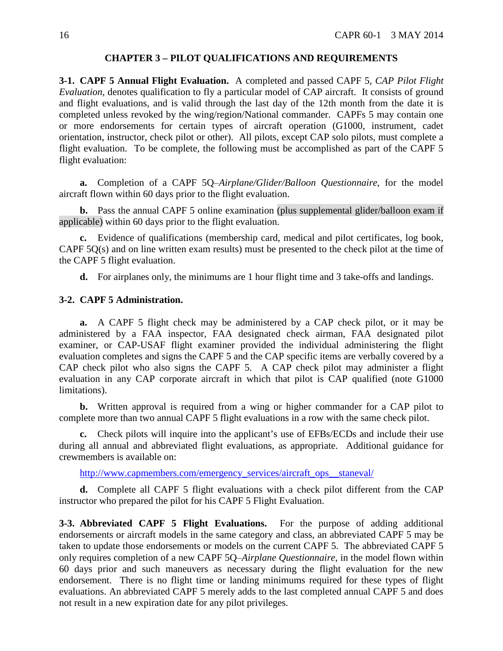#### **CHAPTER 3 – PILOT QUALIFICATIONS AND REQUIREMENTS**

<span id="page-16-1"></span><span id="page-16-0"></span>**3-1. CAPF 5 Annual Flight Evaluation.** A completed and passed CAPF 5, *CAP Pilot Flight Evaluation,* denotes qualification to fly a particular model of CAP aircraft. It consists of ground and flight evaluations, and is valid through the last day of the 12th month from the date it is completed unless revoked by the wing/region/National commander. CAPFs 5 may contain one or more endorsements for certain types of aircraft operation (G1000, instrument, cadet orientation, instructor, check pilot or other). All pilots, except CAP solo pilots, must complete a flight evaluation. To be complete, the following must be accomplished as part of the CAPF 5 flight evaluation:

**a.** Completion of a CAPF 5Q-*Airplane/Glider/Balloon Questionnaire*, for the model aircraft flown within 60 days prior to the flight evaluation.

**b.** Pass the annual CAPF 5 online examination (plus supplemental glider/balloon exam if applicable) within 60 days prior to the flight evaluation.

**c.** Evidence of qualifications (membership card, medical and pilot certificates, log book, CAPF 5Q(s) and on line written exam results) must be presented to the check pilot at the time of the CAPF 5 flight evaluation.

<span id="page-16-2"></span>**d.** For airplanes only, the minimums are 1 hour flight time and 3 take-offs and landings.

### **3-2. CAPF 5 Administration.**

**a.** A CAPF 5 flight check may be administered by a CAP check pilot, or it may be administered by a FAA inspector, FAA designated check airman, FAA designated pilot examiner, or CAP-USAF flight examiner provided the individual administering the flight evaluation completes and signs the CAPF 5 and the CAP specific items are verbally covered by a CAP check pilot who also signs the CAPF 5. A CAP check pilot may administer a flight evaluation in any CAP corporate aircraft in which that pilot is CAP qualified (note G1000 limitations).

**b.** Written approval is required from a wing or higher commander for a CAP pilot to complete more than two annual CAPF 5 flight evaluations in a row with the same check pilot.

**c.** Check pilots will inquire into the applicant's use of EFBs/ECDs and include their use during all annual and abbreviated flight evaluations, as appropriate. Additional guidance for crewmembers is available on:

[http://www.capmembers.com/emergency\\_services/aircraft\\_ops\\_\\_staneval/](http://www.capmembers.com/emergency_services/aircraft_ops__staneval/)

**d.** Complete all CAPF 5 flight evaluations with a check pilot different from the CAP instructor who prepared the pilot for his CAPF 5 Flight Evaluation.

<span id="page-16-3"></span>**3-3. Abbreviated CAPF 5 Flight Evaluations.** For the purpose of adding additional endorsements or aircraft models in the same category and class, an abbreviated CAPF 5 may be taken to update those endorsements or models on the current CAPF 5. The abbreviated CAPF 5 only requires completion of a new CAPF 5Q–*Airplane Questionnaire*, in the model flown within 60 days prior and such maneuvers as necessary during the flight evaluation for the new endorsement. There is no flight time or landing minimums required for these types of flight evaluations. An abbreviated CAPF 5 merely adds to the last completed annual CAPF 5 and does not result in a new expiration date for any pilot privileges.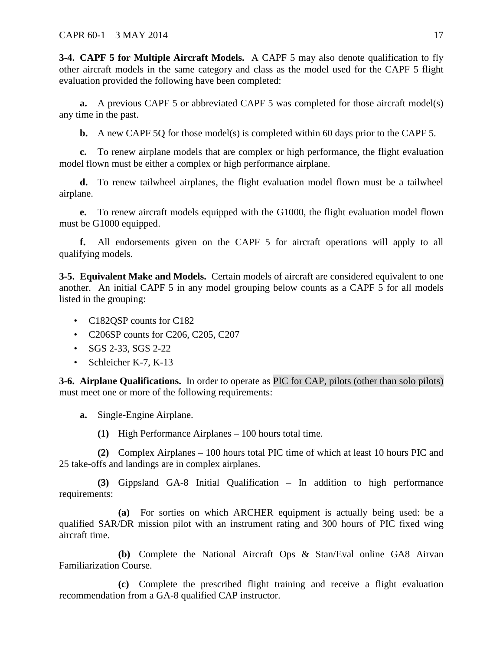<span id="page-17-0"></span>**3-4. CAPF 5 for Multiple Aircraft Models.** A CAPF 5 may also denote qualification to fly other aircraft models in the same category and class as the model used for the CAPF 5 flight evaluation provided the following have been completed:

**a.** A previous CAPF 5 or abbreviated CAPF 5 was completed for those aircraft model(s) any time in the past.

**b.** A new CAPF 5Q for those model(s) is completed within 60 days prior to the CAPF 5.

**c.** To renew airplane models that are complex or high performance, the flight evaluation model flown must be either a complex or high performance airplane.

**d.** To renew tailwheel airplanes, the flight evaluation model flown must be a tailwheel airplane.

**e.** To renew aircraft models equipped with the G1000, the flight evaluation model flown must be G1000 equipped.

**f.** All endorsements given on the CAPF 5 for aircraft operations will apply to all qualifying models.

<span id="page-17-1"></span>**3-5. Equivalent Make and Models.** Certain models of aircraft are considered equivalent to one another. An initial CAPF 5 in any model grouping below counts as a CAPF 5 for all models listed in the grouping:

- C182QSP counts for C182
- C206SP counts for C206, C205, C207
- SGS 2-33, SGS 2-22
- Schleicher K-7, K-13

<span id="page-17-2"></span>**3-6. Airplane Qualifications.** In order to operate as PIC for CAP, pilots (other than solo pilots) must meet one or more of the following requirements:

**a.** Single-Engine Airplane.

**(1)** High Performance Airplanes – 100 hours total time.

**(2)** Complex Airplanes – 100 hours total PIC time of which at least 10 hours PIC and 25 take-offs and landings are in complex airplanes.

**(3)** Gippsland GA-8 Initial Qualification – In addition to high performance requirements:

**(a)** For sorties on which ARCHER equipment is actually being used: be a qualified SAR/DR mission pilot with an instrument rating and 300 hours of PIC fixed wing aircraft time.

**(b)** Complete the National Aircraft Ops & Stan/Eval online GA8 Airvan Familiarization Course.

**(c)** Complete the prescribed flight training and receive a flight evaluation recommendation from a GA-8 qualified CAP instructor.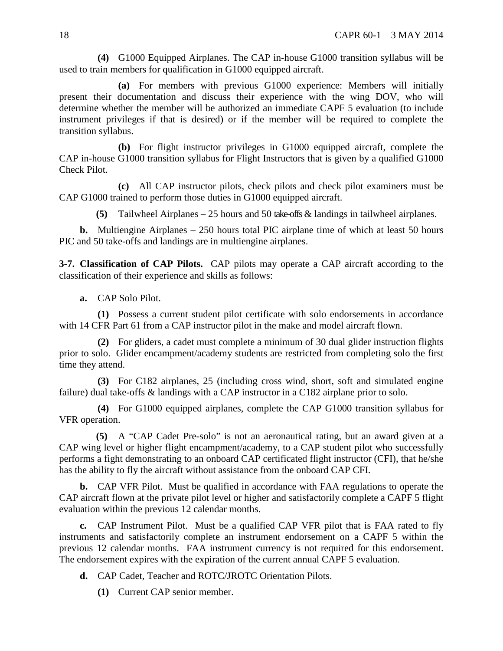**(4)** G1000 Equipped Airplanes. The CAP in-house G1000 transition syllabus will be used to train members for qualification in G1000 equipped aircraft.

**(a)** For members with previous G1000 experience: Members will initially present their documentation and discuss their experience with the wing DOV, who will determine whether the member will be authorized an immediate CAPF 5 evaluation (to include instrument privileges if that is desired) or if the member will be required to complete the transition syllabus.

**(b)** For flight instructor privileges in G1000 equipped aircraft, complete the CAP in-house G1000 transition syllabus for Flight Instructors that is given by a qualified G1000 Check Pilot.

**(c)** All CAP instructor pilots, check pilots and check pilot examiners must be CAP G1000 trained to perform those duties in G1000 equipped aircraft.

**(5)** Tailwheel Airplanes – 25 hours and 50 take-offs & landings in tailwheel airplanes.

**b.** Multiengine Airplanes – 250 hours total PIC airplane time of which at least 50 hours PIC and 50 take-offs and landings are in multiengine airplanes.

<span id="page-18-0"></span>**3-7. Classification of CAP Pilots.** CAP pilots may operate a CAP aircraft according to the classification of their experience and skills as follows:

**a.** CAP Solo Pilot.

**(1)** Possess a current student pilot certificate with solo endorsements in accordance with 14 CFR Part 61 from a CAP instructor pilot in the make and model aircraft flown.

**(2)** For gliders, a cadet must complete a minimum of 30 dual glider instruction flights prior to solo. Glider encampment/academy students are restricted from completing solo the first time they attend.

**(3)** For C182 airplanes, 25 (including cross wind, short, soft and simulated engine failure) dual take-offs & landings with a CAP instructor in a C182 airplane prior to solo.

**(4)** For G1000 equipped airplanes, complete the CAP G1000 transition syllabus for VFR operation.

**(5)** A "CAP Cadet Pre-solo" is not an aeronautical rating, but an award given at a CAP wing level or higher flight encampment/academy, to a CAP student pilot who successfully performs a fight demonstrating to an onboard CAP certificated flight instructor (CFI), that he/she has the ability to fly the aircraft without assistance from the onboard CAP CFI.

**b.** CAP VFR Pilot. Must be qualified in accordance with FAA regulations to operate the CAP aircraft flown at the private pilot level or higher and satisfactorily complete a CAPF 5 flight evaluation within the previous 12 calendar months.

**c.** CAP Instrument Pilot. Must be a qualified CAP VFR pilot that is FAA rated to fly instruments and satisfactorily complete an instrument endorsement on a CAPF 5 within the previous 12 calendar months. FAA instrument currency is not required for this endorsement. The endorsement expires with the expiration of the current annual CAPF 5 evaluation.

**d.** CAP Cadet, Teacher and ROTC/JROTC Orientation Pilots.

**(1)** Current CAP senior member.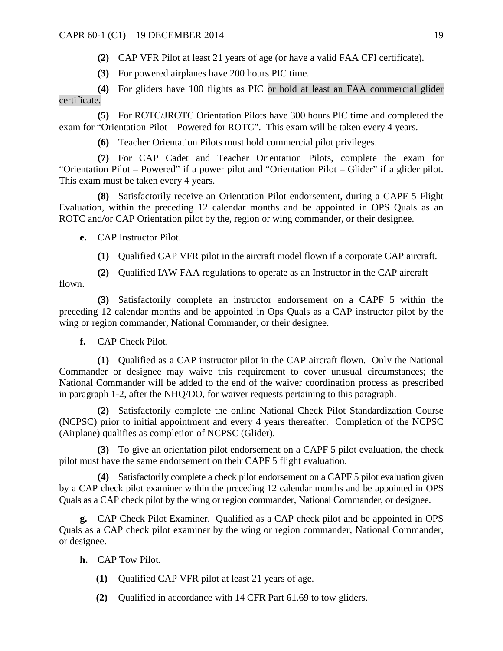**(2)** CAP VFR Pilot at least 21 years of age (or have a valid FAA CFI certificate).

**(3)** For powered airplanes have 200 hours PIC time.

**(4)** For gliders have 100 flights as PIC or hold at least an FAA commercial glider certificate.

**(5)** For ROTC/JROTC Orientation Pilots have 300 hours PIC time and completed the exam for "Orientation Pilot – Powered for ROTC". This exam will be taken every 4 years.

**(6)** Teacher Orientation Pilots must hold commercial pilot privileges.

**(7)** For CAP Cadet and Teacher Orientation Pilots, complete the exam for "Orientation Pilot – Powered" if a power pilot and "Orientation Pilot – Glider" if a glider pilot. This exam must be taken every 4 years.

**(8)** Satisfactorily receive an Orientation Pilot endorsement, during a CAPF 5 Flight Evaluation, within the preceding 12 calendar months and be appointed in OPS Quals as an ROTC and/or CAP Orientation pilot by the, region or wing commander, or their designee.

**e.** CAP Instructor Pilot.

- **(1)** Qualified CAP VFR pilot in the aircraft model flown if a corporate CAP aircraft.
- **(2)** Qualified IAW FAA regulations to operate as an Instructor in the CAP aircraft

flown.

**(3)** Satisfactorily complete an instructor endorsement on a CAPF 5 within the preceding 12 calendar months and be appointed in Ops Quals as a CAP instructor pilot by the wing or region commander, National Commander, or their designee.

**f.** CAP Check Pilot.

**(1)** Qualified as a CAP instructor pilot in the CAP aircraft flown. Only the National Commander or designee may waive this requirement to cover unusual circumstances; the National Commander will be added to the end of the waiver coordination process as prescribed in paragraph 1-2, after the NHQ/DO, for waiver requests pertaining to this paragraph.

**(2)** Satisfactorily complete the online National Check Pilot Standardization Course (NCPSC) prior to initial appointment and every 4 years thereafter. Completion of the NCPSC (Airplane) qualifies as completion of NCPSC (Glider).

**(3)** To give an orientation pilot endorsement on a CAPF 5 pilot evaluation, the check pilot must have the same endorsement on their CAPF 5 flight evaluation.

**(4)** Satisfactorily complete a check pilot endorsement on a CAPF 5 pilot evaluation given by a CAP check pilot examiner within the preceding 12 calendar months and be appointed in OPS Quals as a CAP check pilot by the wing or region commander, National Commander, or designee.

**g.** CAP Check Pilot Examiner. Qualified as a CAP check pilot and be appointed in OPS Quals as a CAP check pilot examiner by the wing or region commander, National Commander, or designee.

**h.** CAP Tow Pilot.

- **(1)** Qualified CAP VFR pilot at least 21 years of age.
- **(2)** Qualified in accordance with 14 CFR Part 61.69 to tow gliders.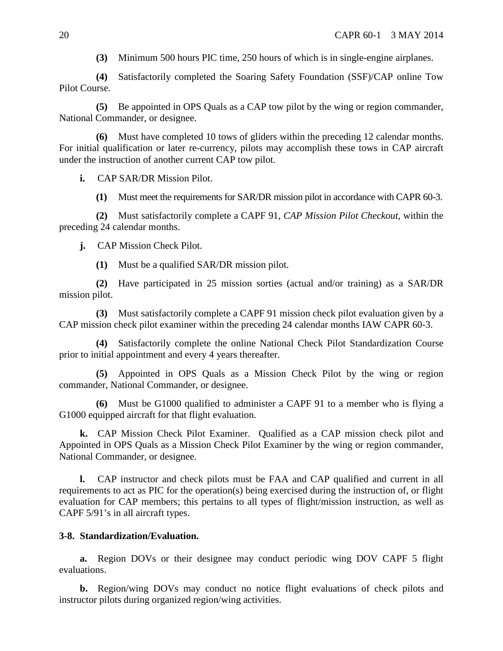**(3)** Minimum 500 hours PIC time, 250 hours of which is in single-engine airplanes.

**(4)** Satisfactorily completed the Soaring Safety Foundation (SSF)/CAP online Tow Pilot Course.

**(5)** Be appointed in OPS Quals as a CAP tow pilot by the wing or region commander, National Commander, or designee.

**(6)** Must have completed 10 tows of gliders within the preceding 12 calendar months. For initial qualification or later re-currency, pilots may accomplish these tows in CAP aircraft under the instruction of another current CAP tow pilot.

**i.** CAP SAR/DR Mission Pilot.

**(1)** Must meet the requirements for SAR/DR mission pilot in accordance with CAPR 60-3.

**(2)** Must satisfactorily complete a CAPF 91, *CAP Mission Pilot Checkout*, within the preceding 24 calendar months.

**j.** CAP Mission Check Pilot.

**(1)** Must be a qualified SAR/DR mission pilot.

**(2)** Have participated in 25 mission sorties (actual and/or training) as a SAR/DR mission pilot.

**(3)** Must satisfactorily complete a CAPF 91 mission check pilot evaluation given by a CAP mission check pilot examiner within the preceding 24 calendar months IAW CAPR 60-3.

**(4)** Satisfactorily complete the online National Check Pilot Standardization Course prior to initial appointment and every 4 years thereafter.

**(5)** Appointed in OPS Quals as a Mission Check Pilot by the wing or region commander, National Commander, or designee.

**(6)** Must be G1000 qualified to administer a CAPF 91 to a member who is flying a G1000 equipped aircraft for that flight evaluation.

**k.** CAP Mission Check Pilot Examiner. Qualified as a CAP mission check pilot and Appointed in OPS Quals as a Mission Check Pilot Examiner by the wing or region commander, National Commander, or designee.

**l.** CAP instructor and check pilots must be FAA and CAP qualified and current in all requirements to act as PIC for the operation(s) being exercised during the instruction of, or flight evaluation for CAP members; this pertains to all types of flight/mission instruction, as well as CAPF 5/91's in all aircraft types.

# <span id="page-20-0"></span>**3-8. Standardization/Evaluation.**

**a.** Region DOVs or their designee may conduct periodic wing DOV CAPF 5 flight evaluations.

**b.** Region/wing DOVs may conduct no notice flight evaluations of check pilots and instructor pilots during organized region/wing activities.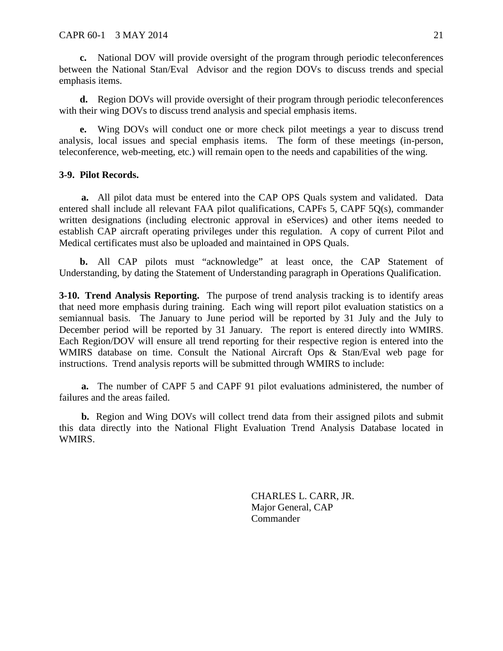**c.** National DOV will provide oversight of the program through periodic teleconferences between the National Stan/Eval Advisor and the region DOVs to discuss trends and special emphasis items.

**d.** Region DOVs will provide oversight of their program through periodic teleconferences with their wing DOVs to discuss trend analysis and special emphasis items.

**e.** Wing DOVs will conduct one or more check pilot meetings a year to discuss trend analysis, local issues and special emphasis items. The form of these meetings (in-person, teleconference, web-meeting, etc.) will remain open to the needs and capabilities of the wing.

## <span id="page-21-0"></span>**3-9. Pilot Records.**

**a.** All pilot data must be entered into the CAP OPS Quals system and validated. Data entered shall include all relevant FAA pilot qualifications, CAPFs 5, CAPF 5Q(s), commander written designations (including electronic approval in eServices) and other items needed to establish CAP aircraft operating privileges under this regulation. A copy of current Pilot and Medical certificates must also be uploaded and maintained in OPS Quals.

**b.** All CAP pilots must "acknowledge" at least once, the CAP Statement of Understanding, by dating the Statement of Understanding paragraph in Operations Qualification.

<span id="page-21-1"></span>**3-10. Trend Analysis Reporting.** The purpose of trend analysis tracking is to identify areas that need more emphasis during training. Each wing will report pilot evaluation statistics on a semiannual basis. The January to June period will be reported by 31 July and the July to December period will be reported by 31 January. The report is entered directly into WMIRS. Each Region/DOV will ensure all trend reporting for their respective region is entered into the WMIRS database on time. Consult the National Aircraft Ops & Stan/Eval web page for instructions. Trend analysis reports will be submitted through WMIRS to include:

**a.** The number of CAPF 5 and CAPF 91 pilot evaluations administered, the number of failures and the areas failed.

**b.** Region and Wing DOVs will collect trend data from their assigned pilots and submit this data directly into the National Flight Evaluation Trend Analysis Database located in WMIRS.

> CHARLES L. CARR, JR. Major General, CAP **Commander**